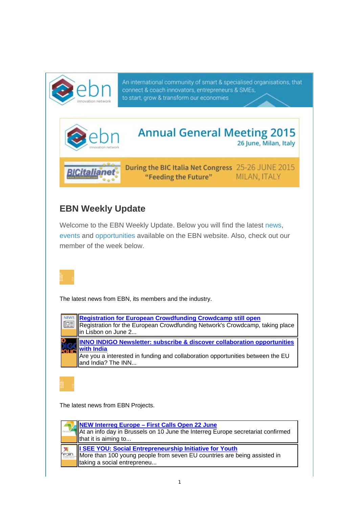

An international community of smart & specialised organisations, that connect & coach innovators, entrepreneurs & SMEs, to start, grow & transform our economies



# **EBN Weekly Update**

Welcome to the EBN Weekly Update. Below you will find the latest news, events and opportunities available on the EBN website. Also, check out our member of the week below.



The latest news from EBN, its members and the industry.

| Registration for European Crowdfunding Crowdcamp still open<br>Registration for the European Crowdfunding Network's Crowdcamp, taking place<br>in Lisbon on June 2                                    |
|-------------------------------------------------------------------------------------------------------------------------------------------------------------------------------------------------------|
| INNO INDIGO Newsletter: subscribe & discover collaboration opportunities<br><b>with India</b><br>Are you a interested in funding and collaboration opportunities between the EU<br>and India? The INN |

The latest news from EBN Projects.

|       | <b>NEW Interreg Europe – First Calls Open 22 June</b><br>NAt an info day in Brussels on 10 June the Interreg Europe secretariat confirmed<br>$\parallel$ that it is aiming to |
|-------|-------------------------------------------------------------------------------------------------------------------------------------------------------------------------------|
| reoin | ISEE YOU: Social Entrepreneurship Initiative for Youth<br>More than 100 young people from seven EU countries are being assisted in<br>Itaking a social entrepreneu            |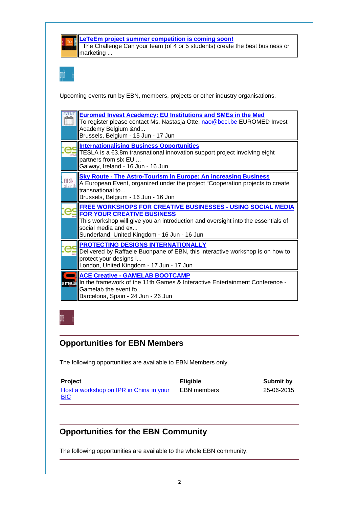

**LeTeEm project summer competition is coming soon!** The Challenge Can your team (of 4 or 5 students) create the best business or marketing ...

Upcoming events run by EBN, members, projects or other industry organisations.

|       | <b>Euromed Invest Academcy: EU Institutions and SMEs in the Med</b><br>To register please contact Ms. Nastasja Otte, nao@beci.be EUROMED Invest<br>Academy Belgium &nd<br>Brussels, Belgium - 15 Jun - 17 Jun                                                      |
|-------|--------------------------------------------------------------------------------------------------------------------------------------------------------------------------------------------------------------------------------------------------------------------|
|       | <b>Internationalising Business Opportunities</b><br>TESLA is a €3.8m transnational innovation support project involving eight<br>partners from six EU<br>Galway, Ireland - 16 Jun - 16 Jun                                                                         |
|       | <b>Sky Route - The Astro-Tourism in Europe: An increasing Business</b><br>A European Event, organized under the project "Cooperation projects to create<br>transnational to<br>Brussels, Belgium - 16 Jun - 16 Jun                                                 |
|       | <b>FREE WORKSHOPS FOR CREATIVE BUSINESSES - USING SOCIAL MEDIA</b><br><b>FOR YOUR CREATIVE BUSINESS</b><br>This workshop will give you an introduction and oversight into the essentials of<br>social media and ex<br>Sunderland, United Kingdom - 16 Jun - 16 Jun |
|       | <b>PROTECTING DESIGNS INTERNATIONALLY</b><br>Delivered by Raffaele Buonpane of EBN, this interactive workshop is on how to<br>protect your designs i<br>London, United Kingdom - 17 Jun - 17 Jun                                                                   |
| amela | <b>ACE Creative - GAMELAB BOOTCAMP</b><br>In the framework of the 11th Games & Interactive Entertainment Conference -<br>Gamelab the event fo<br>Barcelona, Spain - 24 Jun - 26 Jun                                                                                |

### **Opportunities for EBN Members**

The following opportunities are available to EBN Members only.

**Project Eligible Eligible Submit by** Host a workshop on IPR in China in your **BIC** EBN members 25-06-2015

## **Opportunities for the EBN Community**

The following opportunities are available to the whole EBN community.